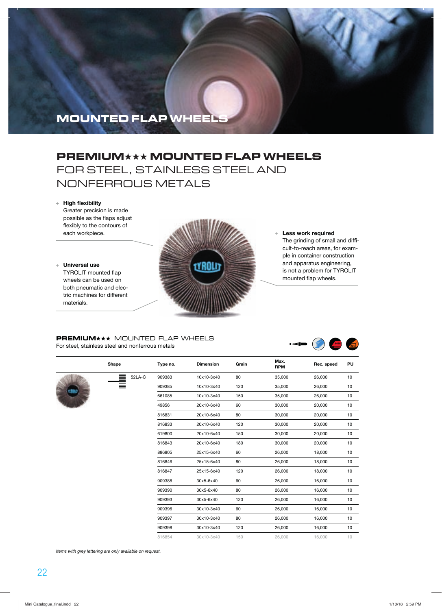## **PREMIUM**★★★ **MOUNTED FLAP WHEELS**  FOR STEEL, STAINLESS STEEL AND NONFERROUS METALS

#### + **High flexibility**

Greater precision is made possible as the flaps adjust flexibly to the contours of each workpiece.

#### + **Universal use**

TYROLIT mounted flap wheels can be used on both pneumatic and electric machines for different materials.



+ **Less work required**

The grinding of small and difficult-to-reach areas, for example in container construction and apparatus engineering, is not a problem for TYROLIT mounted flap wheels.

**PREMIUM\*\*\*** MOUNTED FLAP WHEELS For steel, stainless steel and nonferrous metals



|  | Shape  | Type no.                  | <b>Dimension</b> | Grain  | Max.<br><b>RPM</b> | Rec. speed | PU |
|--|--------|---------------------------|------------------|--------|--------------------|------------|----|
|  | 52LA-C | 909383                    | 10x10-3x40       | 80     | 35,000             | 26,000     | 10 |
|  |        | 909385                    | 10x10-3x40       | 120    | 35,000             | 26,000     | 10 |
|  |        | 661085                    | 10x10-3x40       | 150    | 35,000             | 26,000     | 10 |
|  |        | 49856                     | 20x10-6x40       | 60     | 30,000             | 20,000     | 10 |
|  |        | 816831                    | 20x10-6x40       | 80     | 30,000             | 20,000     | 10 |
|  |        | 816833                    | 20x10-6x40       | 120    | 30,000             | 20,000     | 10 |
|  |        | 619800                    | 20x10-6x40       | 150    | 30,000             | 20,000     | 10 |
|  |        | 816843                    | 20x10-6x40       | 180    | 30,000             | 20,000     | 10 |
|  |        | 886805                    | 25x15-6x40       | 60     | 26,000             | 18,000     | 10 |
|  |        | 816846                    | 25x15-6x40       | 80     | 26,000             | 18,000     | 10 |
|  |        | 816847                    | 25x15-6x40       | 120    | 26,000             | 18,000     | 10 |
|  |        | 909388                    | 30x5-6x40        | 60     | 26,000             | 16,000     | 10 |
|  |        | 909390<br>30x5-6x40<br>80 | 26,000           | 16,000 | 10                 |            |    |
|  |        | 909393                    | 30x5-6x40        | 120    | 26,000             | 16,000     | 10 |
|  |        | 909396                    | 30x10-3x40       | 60     | 26,000             | 16,000     | 10 |
|  |        | 909397                    | 30x10-3x40       | 80     | 26,000             | 16,000     | 10 |
|  |        | 909398                    | 30x10-3x40       | 120    | 26,000             | 16,000     | 10 |
|  |        | 816854                    | 30x10-3x40       | 150    | 26,000             | 16,000     | 10 |
|  |        |                           |                  |        |                    |            |    |

Items with grey lettering are only available on request.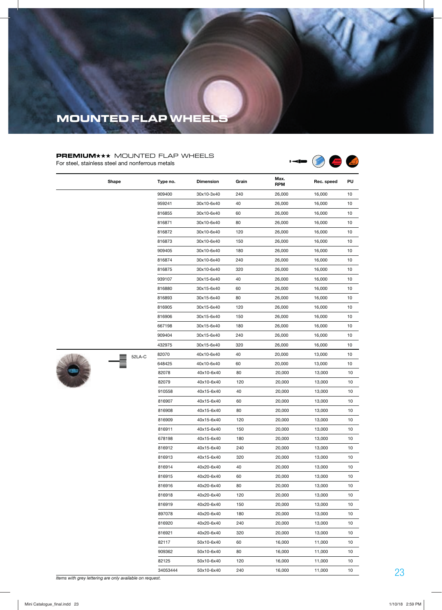### **PREMIUM**<sup>\*\*</sup> MOUNTED FLAP WHEELS

For steel, stainless steel and nonferrous metals



|           | Shape  | Type no. | <b>Dimension</b> | Grain | Max.<br><b>RPM</b> | Rec. speed | PU |
|-----------|--------|----------|------------------|-------|--------------------|------------|----|
|           |        | 909400   | 30x10-3x40       | 240   | 26,000             | 16,000     | 10 |
|           |        | 959241   | 30x10-6x40       | 40    | 26,000             | 16,000     | 10 |
|           |        | 816855   | 30x10-6x40       | 60    | 26,000             | 16,000     | 10 |
|           |        | 816871   | 30x10-6x40       | 80    | 26,000             | 16,000     | 10 |
|           |        | 816872   | 30x10-6x40       | 120   | 26,000             | 16,000     | 10 |
|           |        | 816873   | 30x10-6x40       | 150   | 26,000             | 16,000     | 10 |
|           |        | 909405   | 30x10-6x40       | 180   | 26,000             | 16,000     | 10 |
|           |        | 816874   | 30x10-6x40       | 240   | 26,000             | 16,000     | 10 |
|           |        | 816875   | 30x10-6x40       | 320   | 26,000             | 16,000     | 10 |
|           |        | 939107   | 30x15-6x40       | 40    | 26,000             | 16,000     | 10 |
|           |        | 816880   | 30x15-6x40       | 60    | 26,000             | 16,000     | 10 |
|           |        | 816893   | 30x15-6x40       | 80    | 26,000             | 16,000     | 10 |
|           |        | 816905   | 30x15-6x40       | 120   | 26,000             | 16,000     | 10 |
|           |        | 816906   | 30x15-6x40       | 150   | 26,000             | 16,000     | 10 |
|           |        | 667198   | 30x15-6x40       | 180   | 26,000             | 16,000     | 10 |
|           |        | 909404   | 30x15-6x40       | 240   | 26,000             | 16,000     | 10 |
|           |        | 432975   | 30x15-6x40       | 320   | 26,000             | 16,000     | 10 |
|           | 52LA-C | 82070    | 40x10-6x40       | 40    | 20,000             | 13,000     | 10 |
|           |        | 648425   | 40x10-6x40       | 60    | 20,000             | 13,000     | 10 |
| $\bullet$ |        | 82078    | 40x10-6x40       | 80    | 20,000             | 13,000     | 10 |
|           |        | 82079    | 40x10-6x40       | 120   | 20,000             | 13,000     | 10 |
|           |        | 910558   | 40x15-6x40       | 40    | 20,000             | 13,000     | 10 |
|           |        | 816907   | 40x15-6x40       | 60    | 20,000             | 13,000     | 10 |
|           |        | 816908   | 40x15-6x40       | 80    | 20,000             | 13,000     | 10 |
|           |        | 816909   | 40x15-6x40       | 120   | 20,000             | 13,000     | 10 |
|           |        | 816911   | 40x15-6x40       | 150   | 20,000             | 13,000     | 10 |
|           |        | 678198   | 40x15-6x40       | 180   | 20,000             | 13,000     | 10 |
|           |        | 816912   | 40x15-6x40       | 240   | 20,000             | 13,000     | 10 |
|           |        | 816913   | 40x15-6x40       | 320   | 20,000             | 13,000     | 10 |
|           |        | 816914   | 40x20-6x40       | 40    | 20,000             | 13,000     | 10 |
|           |        | 816915   | 40x20-6x40       | 60    | 20,000             | 13,000     | 10 |
|           |        | 816916   | 40x20-6x40       | 80    | 20,000             | 13,000     | 10 |
|           |        | 816918   | 40x20-6x40       | 120   | 20,000             | 13,000     | 10 |
|           |        | 816919   | 40x20-6x40       | 150   | 20,000             | 13,000     | 10 |
|           |        | 897078   | 40x20-6x40       | 180   | 20,000             | 13,000     | 10 |
|           |        | 816920   | 40x20-6x40       | 240   | 20,000             | 13,000     | 10 |
|           |        | 816921   | 40x20-6x40       | 320   | 20,000             | 13,000     | 10 |
|           |        | 82117    | 50x10-6x40       | 60    | 16,000             | 11,000     | 10 |
|           |        | 909362   | 50x10-6x40       | 80    | 16,000             | 11,000     | 10 |
|           |        | 82125    | 50x10-6x40       | 120   | 16,000             | 11,000     | 10 |
|           |        | 34053444 | 50x10-6x40       | 240   | 16,000             | 11,000     | 10 |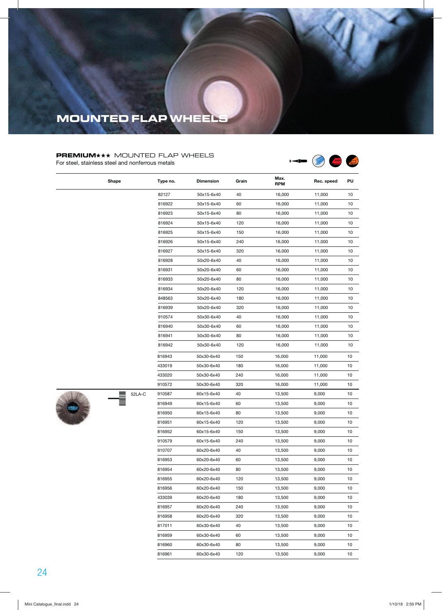### **PREMIUM\*\*\*** MOUNTED FLAP WHEELS

For steel, stainless steel and nonferrous metals

 $\overline{\phantom{a}}$ 



|  | Shape  | Type no. | <b>Dimension</b> | Grain | Max.<br><b>RPM</b> | Rec. speed | PU |
|--|--------|----------|------------------|-------|--------------------|------------|----|
|  |        | 82127    | 50x15-6x40       | 40    | 16,000             | 11,000     | 10 |
|  |        | 816922   | 50x15-6x40       | 60    | 16,000             | 11,000     | 10 |
|  |        | 816923   | 50x15-6x40       | 80    | 16,000             | 11,000     | 10 |
|  |        | 816924   | 50x15-6x40       | 120   | 16,000             | 11,000     | 10 |
|  |        | 816925   | 50x15-6x40       | 150   | 16,000             | 11,000     | 10 |
|  |        | 816926   | 50x15-6x40       | 240   | 16,000             | 11,000     | 10 |
|  |        | 816927   | 50x15-6x40       | 320   | 16,000             | 11,000     | 10 |
|  |        | 816928   | 50x20-6x40       | 40    | 16,000             | 11,000     | 10 |
|  |        | 816931   | 50x20-6x40       | 60    | 16,000             | 11,000     | 10 |
|  |        | 816933   | 50x20-6x40       | 80    | 16,000             | 11,000     | 10 |
|  |        | 816934   | 50x20-6x40       | 120   | 16,000             | 11,000     | 10 |
|  |        | 848563   | 50x20-6x40       | 180   | 16,000             | 11,000     | 10 |
|  |        | 816939   | 50x20-6x40       | 320   | 16,000             | 11,000     | 10 |
|  |        | 910574   | 50x30-6x40       | 40    | 16,000             | 11,000     | 10 |
|  |        | 816940   | 50x30-6x40       | 60    | 16,000             | 11,000     | 10 |
|  |        | 816941   | 50x30-6x40       | 80    | 16,000             | 11,000     | 10 |
|  |        | 816942   | 50x30-6x40       | 120   | 16,000             | 11,000     | 10 |
|  |        | 816943   | 50x30-6x40       | 150   | 16,000             | 11,000     | 10 |
|  |        | 433019   | 50x30-6x40       | 180   | 16,000             | 11,000     | 10 |
|  |        | 433020   | 50x30-6x40       | 240   | 16,000             | 11,000     | 10 |
|  |        | 910572   | 50x30-6x40       | 320   | 16,000             | 11,000     | 10 |
|  | 52LA-C | 910587   | 60x15-6x40       | 40    | 13,500             | 9,000      | 10 |
|  |        | 816949   | 60x15-6x40       | 60    | 13,500             | 9,000      | 10 |
|  |        | 816950   | 60x15-6x40       | 80    | 13,500             | 9,000      | 10 |
|  |        | 816951   | 60x15-6x40       | 120   | 13,500             | 9,000      | 10 |
|  |        | 816952   | 60x15-6x40       | 150   | 13,500             | 9,000      | 10 |
|  |        | 910579   | 60x15-6x40       | 240   | 13,500             | 9,000      | 10 |
|  |        | 910707   | 60x20-6x40       | 40    | 13,500             | 9,000      | 10 |
|  |        | 816953   | 60x20-6x40       | 60    | 13,500             | 9,000      | 10 |
|  |        | 816954   | 60x20-6x40       | 80    | 13,500             | 9,000      | 10 |
|  |        | 816955   | 60x20-6x40       | 120   | 13,500             | 9,000      | 10 |
|  |        | 816956   | 60x20-6x40       | 150   | 13,500             | 9,000      | 10 |
|  |        | 433039   | 60x20-6x40       | 180   | 13,500             | 9,000      | 10 |
|  |        | 816957   | 60x20-6x40       | 240   | 13,500             | 9,000      | 10 |
|  |        | 816958   | 60x20-6x40       | 320   | 13,500             | 9,000      | 10 |
|  |        | 817011   | 60x30-6x40       | 40    | 13,500             | 9,000      | 10 |
|  |        | 816959   | 60x30-6x40       | 60    | 13,500             | 9,000      | 10 |
|  |        | 816960   | 60x30-6x40       | 80    | 13,500             | 9,000      | 10 |
|  |        | 816961   | 60x30-6x40       | 120   | 13,500             | 9,000      | 10 |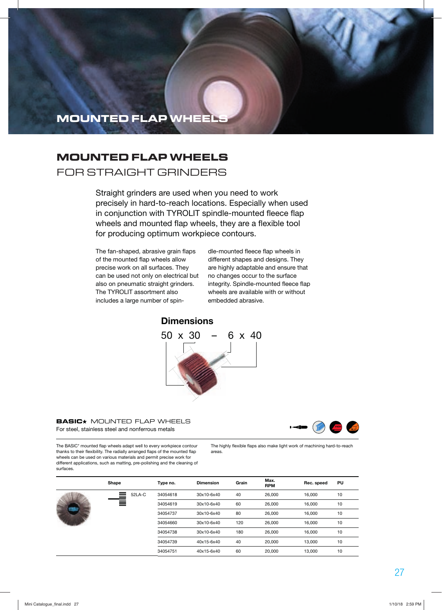### **MOUNTED FLAP WHEELS**

### FOR STRAIGHT GRINDERS

Straight grinders are used when you need to work precisely in hard-to-reach locations. Especially when used in conjunction with TYROLIT spindle-mounted fleece flap wheels and mounted flap wheels, they are a flexible tool for producing optimum workpiece contours.

The fan-shaped, abrasive grain flaps of the mounted flap wheels allow precise work on all surfaces. They can be used not only on electrical but also on pneumatic straight grinders. The TYROLIT assortment also includes a large number of spin-

dle-mounted fleece flap wheels in different shapes and designs. They are highly adaptable and ensure that no changes occur to the surface integrity. Spindle-mounted fleece flap wheels are available with or without embedded abrasive.

### **Dimensions**



#### **BASIC**<sup>\*</sup> MOUNTED FLAP WHEELS For steel, stainless steel and nonferrous metals



The BASIC\* mounted flap wheels adapt well to every workpiece contour thanks to their flexibility. The radially arranged flaps of the mounted flap wheels can be used on various materials and permit precise work for different applications, such as matting, pre-polishing and the cleaning of surfaces.

The highly flexible flaps also make light work of machining hard-to-reach areas.

|   | Shape       | Type no. | <b>Dimension</b> | Grain | Max.<br><b>RPM</b> | Rec. speed | PU |  |
|---|-------------|----------|------------------|-------|--------------------|------------|----|--|
| m | ▋<br>52LA-C | 34054618 | 30x10-6x40       | 40    | 26,000             | 16.000     | 10 |  |
|   |             | 34054619 | 30x10-6x40       | 60    | 26,000             | 16.000     | 10 |  |
|   |             | 34054737 | 30x10-6x40       | 80    | 26,000             | 16.000     | 10 |  |
|   |             | 34054660 | 30x10-6x40       | 120   | 26,000             | 16.000     | 10 |  |
|   |             | 34054738 | 30x10-6x40       | 180   | 26,000             | 16.000     | 10 |  |
|   |             | 34054739 | 40x15-6x40       | 40    | 20,000             | 13.000     | 10 |  |
|   |             | 34054751 | 40x15-6x40       | 60    | 20,000             | 13.000     | 10 |  |
|   |             |          |                  |       |                    |            |    |  |